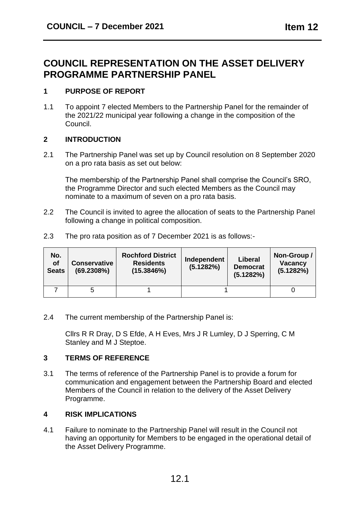# **COUNCIL REPRESENTATION ON THE ASSET DELIVERY PROGRAMME PARTNERSHIP PANEL**

## **1 PURPOSE OF REPORT**

1.1 To appoint 7 elected Members to the Partnership Panel for the remainder of the 2021/22 municipal year following a change in the composition of the Council.

## **2 INTRODUCTION**

2.1 The Partnership Panel was set up by Council resolution on 8 September 2020 on a pro rata basis as set out below:

The membership of the Partnership Panel shall comprise the Council's SRO, the Programme Director and such elected Members as the Council may nominate to a maximum of seven on a pro rata basis.

2.2 The Council is invited to agree the allocation of seats to the Partnership Panel following a change in political composition.

| No.<br><b>of</b><br><b>Seats</b> | <b>Conservative</b><br>(69.2308%) | <b>Rochford District</b><br><b>Residents</b><br>(15.3846%) | Independent<br>(5.1282%) | Liberal<br><b>Democrat</b><br>(5.1282%) | Non-Group/<br><b>Vacancy</b><br>(5.1282%) |
|----------------------------------|-----------------------------------|------------------------------------------------------------|--------------------------|-----------------------------------------|-------------------------------------------|
|                                  |                                   |                                                            |                          |                                         |                                           |

2.3 The pro rata position as of 7 December 2021 is as follows:-

2.4 The current membership of the Partnership Panel is:

Cllrs R R Dray, D S Efde, A H Eves, Mrs J R Lumley, D J Sperring, C M Stanley and M J Steptoe.

## **3 TERMS OF REFERENCE**

3.1 The terms of reference of the Partnership Panel is to provide a forum for communication and engagement between the Partnership Board and elected Members of the Council in relation to the delivery of the Asset Delivery Programme.

## **4 RISK IMPLICATIONS**

4.1 Failure to nominate to the Partnership Panel will result in the Council not having an opportunity for Members to be engaged in the operational detail of the Asset Delivery Programme.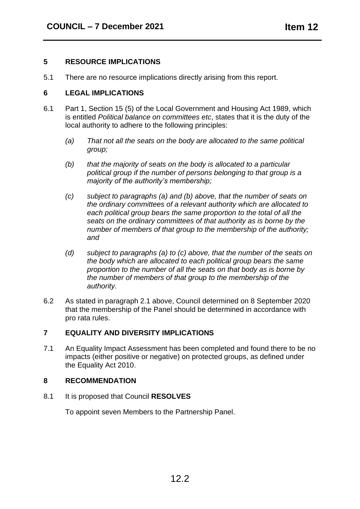#### **5 RESOURCE IMPLICATIONS**

5.1 There are no resource implications directly arising from this report.

#### **6 LEGAL IMPLICATIONS**

- 6.1 Part 1, Section 15 (5) of the Local Government and Housing Act 1989, which is entitled *Political balance on committees etc*, states that it is the duty of the local authority to adhere to the following principles:
	- *(a) That not all the seats on the body are allocated to the same political group;*
	- *(b) that the majority of seats on the body is allocated to a particular political group if the number of persons belonging to that group is a majority of the authority's membership;*
	- *(c) subject to paragraphs (a) and (b) above, that the number of seats on the ordinary committees of a relevant authority which are allocated to each political group bears the same proportion to the total of all the seats on the ordinary committees of that authority as is borne by the number of members of that group to the membership of the authority; and*
	- *(d) subject to paragraphs (a) to (c) above, that the number of the seats on the body which are allocated to each political group bears the same proportion to the number of all the seats on that body as is borne by the number of members of that group to the membership of the authority.*
- 6.2 As stated in paragraph 2.1 above, Council determined on 8 September 2020 that the membership of the Panel should be determined in accordance with pro rata rules.

### **7 EQUALITY AND DIVERSITY IMPLICATIONS**

7.1 An Equality Impact Assessment has been completed and found there to be no impacts (either positive or negative) on protected groups, as defined under the Equality Act 2010.

#### **8 RECOMMENDATION**

8.1 It is proposed that Council **RESOLVES**

To appoint seven Members to the Partnership Panel.